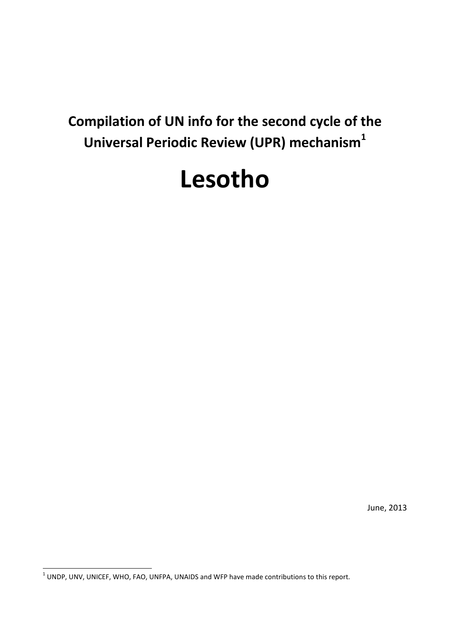# **Compilation of UN info for the second cycle of the Universal Periodic Review (UPR) mechanism<sup>1</sup>**

# **Lesotho**

June, 2013

 1 UNDP, UNV, UNICEF, WHO, FAO, UNFPA, UNAIDS and WFP have made contributions to this report.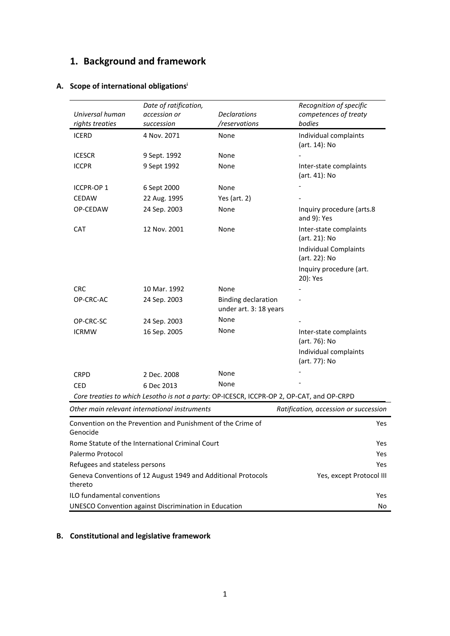# **1. Background and framework**

| Universal human<br>rights treaties | Date of ratification,<br>accession or<br>succession         | <b>Declarations</b><br>/reservations                 | Recognition of specific<br>competences of treaty<br>bodies                                |
|------------------------------------|-------------------------------------------------------------|------------------------------------------------------|-------------------------------------------------------------------------------------------|
| <b>ICERD</b>                       | 4 Nov. 2071                                                 | None                                                 | Individual complaints<br>(art. 14): No                                                    |
| <b>ICESCR</b>                      | 9 Sept. 1992                                                | None                                                 |                                                                                           |
| ICCPR                              | 9 Sept 1992                                                 | None                                                 | Inter-state complaints<br>(art. 41): No                                                   |
| ICCPR-OP 1                         | 6 Sept 2000                                                 | None                                                 |                                                                                           |
| <b>CEDAW</b>                       | 22 Aug. 1995                                                | Yes (art. $2)$                                       |                                                                                           |
| OP-CEDAW                           | 24 Sep. 2003                                                | None                                                 | Inquiry procedure (arts.8<br>and 9): Yes                                                  |
| CAT                                | 12 Nov. 2001                                                | None                                                 | Inter-state complaints<br>(art. 21): No                                                   |
|                                    |                                                             |                                                      | <b>Individual Complaints</b><br>(art. 22): No                                             |
|                                    |                                                             |                                                      | Inquiry procedure (art.<br>20): Yes                                                       |
| <b>CRC</b>                         | 10 Mar. 1992                                                | None                                                 |                                                                                           |
| OP-CRC-AC                          | 24 Sep. 2003                                                | <b>Binding declaration</b><br>under art. 3: 18 years |                                                                                           |
| OP-CRC-SC                          | 24 Sep. 2003                                                | None                                                 |                                                                                           |
| <b>ICRMW</b>                       | 16 Sep. 2005                                                | None                                                 | Inter-state complaints<br>(art. 76): No                                                   |
|                                    |                                                             |                                                      | Individual complaints<br>(art. 77): No                                                    |
| <b>CRPD</b>                        | 2 Dec. 2008                                                 | None                                                 |                                                                                           |
| <b>CED</b>                         | 6 Dec 2013                                                  | None                                                 |                                                                                           |
|                                    |                                                             |                                                      | Core treaties to which Lesotho is not a party: OP-ICESCR, ICCPR-OP 2, OP-CAT, and OP-CRPD |
|                                    | Other main relevant international instruments               |                                                      | Ratification, accession or succession                                                     |
| Genocide                           | Convention on the Prevention and Punishment of the Crime of |                                                      | Yes                                                                                       |
|                                    | Bome Statute of the International Criminal Court            |                                                      | ۷ρς                                                                                       |

## **A. Scope of international obligations<sup>i</sup>**

| Other main relevant international instruments                            | Ratification, accession or succession |  |
|--------------------------------------------------------------------------|---------------------------------------|--|
| Convention on the Prevention and Punishment of the Crime of<br>Genocide  | Yes                                   |  |
| Rome Statute of the International Criminal Court                         | Yes                                   |  |
| Palermo Protocol                                                         | Yes                                   |  |
| Refugees and stateless persons                                           | Yes                                   |  |
| Geneva Conventions of 12 August 1949 and Additional Protocols<br>thereto | Yes, except Protocol III              |  |
| ILO fundamental conventions                                              | Yes                                   |  |
| UNESCO Convention against Discrimination in Education                    | No                                    |  |

## **B. Constitutional and legislative framework**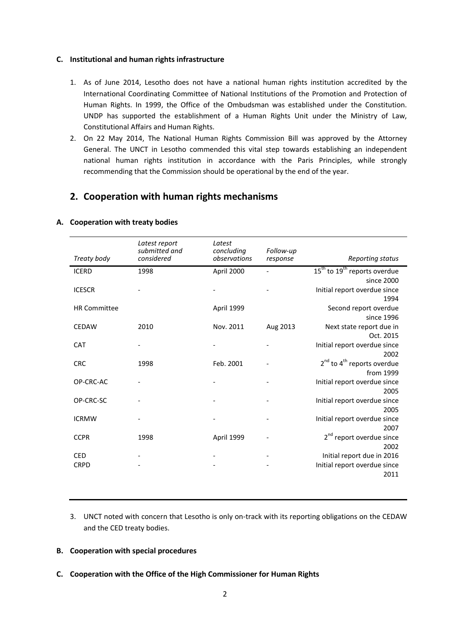#### **C. Institutional and human rights infrastructure**

- 1. As of June 2014, Lesotho does not have a national human rights institution accredited by the International Coordinating Committee of National Institutions of the Promotion and Protection of Human Rights. In 1999, the Office of the Ombudsman was established under the Constitution. UNDP has supported the establishment of a Human Rights Unit under the Ministry of Law, Constitutional Affairs and Human Rights.
- 2. On 22 May 2014, The National Human Rights Commission Bill was approved by the Attorney General. The UNCT in Lesotho commended this vital step towards establishing an independent national human rights institution in accordance with the Paris Principles, while strongly recommending that the Commission should be operational by the end of the year.

### **2. Cooperation with human rights mechanisms**

| Treaty body               | Latest report<br>submitted and<br>considered | Latest<br>concluding<br>observations | Follow-up<br>response | Reporting status                                                           |
|---------------------------|----------------------------------------------|--------------------------------------|-----------------------|----------------------------------------------------------------------------|
| <b>ICERD</b>              | 1998                                         | April 2000                           |                       | 15 <sup>th</sup> to 19 <sup>th</sup> reports overdue                       |
| <b>ICESCR</b>             |                                              |                                      |                       | since 2000<br>Initial report overdue since<br>1994                         |
| <b>HR Committee</b>       |                                              | April 1999                           |                       | Second report overdue<br>since 1996                                        |
| <b>CEDAW</b>              | 2010                                         | Nov. 2011                            | Aug 2013              | Next state report due in<br>Oct. 2015                                      |
| <b>CAT</b>                |                                              |                                      |                       | Initial report overdue since                                               |
| <b>CRC</b>                | 1998                                         | Feb. 2001                            |                       | 2002<br>$2nd$ to 4 <sup>th</sup> reports overdue<br>from 1999              |
| OP-CRC-AC                 |                                              |                                      |                       | Initial report overdue since<br>2005                                       |
| OP-CRC-SC                 |                                              |                                      |                       | Initial report overdue since<br>2005                                       |
| <b>ICRMW</b>              |                                              |                                      |                       | Initial report overdue since<br>2007                                       |
| <b>CCPR</b>               | 1998                                         | April 1999                           |                       | 2 <sup>nd</sup> report overdue since                                       |
| <b>CED</b><br><b>CRPD</b> |                                              |                                      |                       | 2002<br>Initial report due in 2016<br>Initial report overdue since<br>2011 |

#### **A. Cooperation with treaty bodies**

3. UNCT noted with concern that Lesotho is only on-track with its reporting obligations on the CEDAW and the CED treaty bodies.

#### **B. Cooperation with special procedures**

**C. Cooperation with the Office of the High Commissioner for Human Rights**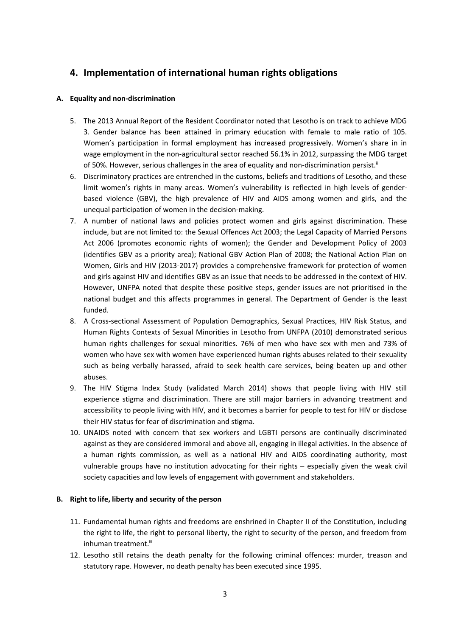# **4. Implementation of international human rights obligations**

#### **A. Equality and non-discrimination**

- 5. The 2013 Annual Report of the Resident Coordinator noted that Lesotho is on track to achieve MDG 3. Gender balance has been attained in primary education with female to male ratio of 105. Women's participation in formal employment has increased progressively. Women's share in in wage employment in the non-agricultural sector reached 56.1% in 2012, surpassing the MDG target of 50%. However, serious challenges in the area of equality and non-discrimination persist.<sup>ii</sup>
- 6. Discriminatory practices are entrenched in the customs, beliefs and traditions of Lesotho, and these limit women's rights in many areas. Women's vulnerability is reflected in high levels of genderbased violence (GBV), the high prevalence of HIV and AIDS among women and girls, and the unequal participation of women in the decision-making.
- 7. A number of national laws and policies protect women and girls against discrimination. These include, but are not limited to: the Sexual Offences Act 2003; the Legal Capacity of Married Persons Act 2006 (promotes economic rights of women); the Gender and Development Policy of 2003 (identifies GBV as a priority area); National GBV Action Plan of 2008; the National Action Plan on Women, Girls and HIV (2013-2017) provides a comprehensive framework for protection of women and girls against HIV and identifies GBV as an issue that needs to be addressed in the context of HIV. However, UNFPA noted that despite these positive steps, gender issues are not prioritised in the national budget and this affects programmes in general. The Department of Gender is the least funded.
- 8. A Cross-sectional Assessment of Population Demographics, Sexual Practices, HIV Risk Status, and Human Rights Contexts of Sexual Minorities in Lesotho from UNFPA (2010) demonstrated serious human rights challenges for sexual minorities. 76% of men who have sex with men and 73% of women who have sex with women have experienced human rights abuses related to their sexuality such as being verbally harassed, afraid to seek health care services, being beaten up and other abuses.
- 9. The HIV Stigma Index Study (validated March 2014) shows that people living with HIV still experience stigma and discrimination. There are still major barriers in advancing treatment and accessibility to people living with HIV, and it becomes a barrier for people to test for HIV or disclose their HIV status for fear of discrimination and stigma.
- 10. UNAIDS noted with concern that sex workers and LGBTI persons are continually discriminated against as they are considered immoral and above all, engaging in illegal activities. In the absence of a human rights commission, as well as a national HIV and AIDS coordinating authority, most vulnerable groups have no institution advocating for their rights – especially given the weak civil society capacities and low levels of engagement with government and stakeholders.

#### **B. Right to life, liberty and security of the person**

- 11. Fundamental human rights and freedoms are enshrined in Chapter II of the Constitution, including the right to life, the right to personal liberty, the right to security of the person, and freedom from inhuman treatment.iii
- 12. Lesotho still retains the death penalty for the following criminal offences: murder, treason and statutory rape. However, no death penalty has been executed since 1995.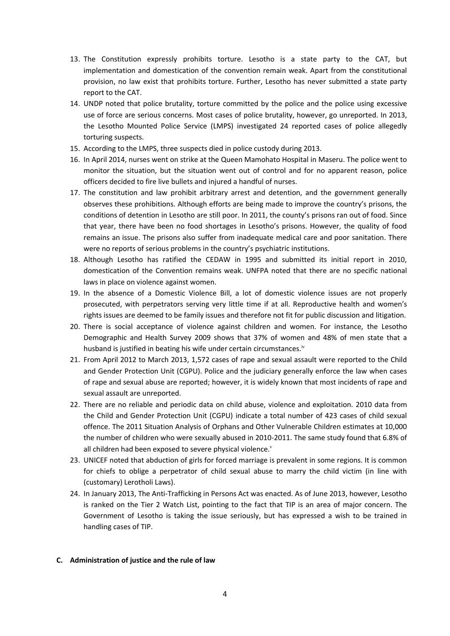- 13. The Constitution expressly prohibits torture. Lesotho is a state party to the CAT, but implementation and domestication of the convention remain weak. Apart from the constitutional provision, no law exist that prohibits torture. Further, Lesotho has never submitted a state party report to the CAT.
- 14. UNDP noted that police brutality, torture committed by the police and the police using excessive use of force are serious concerns. Most cases of police brutality, however, go unreported. In 2013, the Lesotho Mounted Police Service (LMPS) investigated 24 reported cases of police allegedly torturing suspects.
- 15. According to the LMPS, three suspects died in police custody during 2013.
- 16. In April 2014, nurses went on strike at the Queen Mamohato Hospital in Maseru. The police went to monitor the situation, but the situation went out of control and for no apparent reason, police officers decided to fire live bullets and injured a handful of nurses.
- 17. The constitution and law prohibit arbitrary arrest and detention, and the government generally observes these prohibitions. Although efforts are being made to improve the country's prisons, the conditions of detention in Lesotho are still poor. In 2011, the county's prisons ran out of food. Since that year, there have been no food shortages in Lesotho's prisons. However, the quality of food remains an issue. The prisons also suffer from inadequate medical care and poor sanitation. There were no reports of serious problems in the country's psychiatric institutions.
- 18. Although Lesotho has ratified the CEDAW in 1995 and submitted its initial report in 2010, domestication of the Convention remains weak. UNFPA noted that there are no specific national laws in place on violence against women.
- 19. In the absence of a Domestic Violence Bill, a lot of domestic violence issues are not properly prosecuted, with perpetrators serving very little time if at all. Reproductive health and women's rights issues are deemed to be family issues and therefore not fit for public discussion and litigation.
- 20. There is social acceptance of violence against children and women. For instance, the Lesotho Demographic and Health Survey 2009 shows that 37% of women and 48% of men state that a husband is justified in beating his wife under certain circumstances.iv
- 21. From April 2012 to March 2013, 1,572 cases of rape and sexual assault were reported to the Child and Gender Protection Unit (CGPU). Police and the judiciary generally enforce the law when cases of rape and sexual abuse are reported; however, it is widely known that most incidents of rape and sexual assault are unreported.
- 22. There are no reliable and periodic data on child abuse, violence and exploitation. 2010 data from the Child and Gender Protection Unit (CGPU) indicate a total number of 423 cases of child sexual offence. The 2011 Situation Analysis of Orphans and Other Vulnerable Children estimates at 10,000 the number of children who were sexually abused in 2010-2011. The same study found that 6.8% of all children had been exposed to severe physical violence.<sup>v</sup>
- 23. UNICEF noted that abduction of girls for forced marriage is prevalent in some regions. It is common for chiefs to oblige a perpetrator of child sexual abuse to marry the child victim (in line with (customary) Lerotholi Laws).
- 24. In January 2013, The Anti-Trafficking in Persons Act was enacted. As of June 2013, however, Lesotho is ranked on the Tier 2 Watch List, pointing to the fact that TIP is an area of major concern. The Government of Lesotho is taking the issue seriously, but has expressed a wish to be trained in handling cases of TIP.

#### **C. Administration of justice and the rule of law**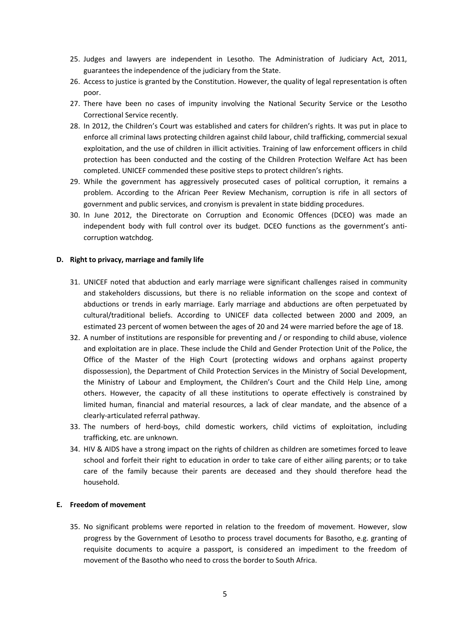- 25. Judges and lawyers are independent in Lesotho. The Administration of Judiciary Act, 2011, guarantees the independence of the judiciary from the State.
- 26. Access to justice is granted by the Constitution. However, the quality of legal representation is often poor.
- 27. There have been no cases of impunity involving the National Security Service or the Lesotho Correctional Service recently.
- 28. In 2012, the Children's Court was established and caters for children's rights. It was put in place to enforce all criminal laws protecting children against child labour, child trafficking, commercial sexual exploitation, and the use of children in illicit activities. Training of law enforcement officers in child protection has been conducted and the costing of the Children Protection Welfare Act has been completed. UNICEF commended these positive steps to protect children's rights.
- 29. While the government has aggressively prosecuted cases of political corruption, it remains a problem. According to the African Peer Review Mechanism, corruption is rife in all sectors of government and public services, and cronyism is prevalent in state bidding procedures.
- 30. In June 2012, the Directorate on Corruption and Economic Offences (DCEO) was made an independent body with full control over its budget. DCEO functions as the government's anticorruption watchdog.

#### **D. Right to privacy, marriage and family life**

- 31. UNICEF noted that abduction and early marriage were significant challenges raised in community and stakeholders discussions, but there is no reliable information on the scope and context of abductions or trends in early marriage. Early marriage and abductions are often perpetuated by cultural/traditional beliefs. According to UNICEF data collected between 2000 and 2009, an estimated 23 percent of women between the ages of 20 and 24 were married before the age of 18.
- 32. A number of institutions are responsible for preventing and / or responding to child abuse, violence and exploitation are in place. These include the Child and Gender Protection Unit of the Police, the Office of the Master of the High Court (protecting widows and orphans against property dispossession), the Department of Child Protection Services in the Ministry of Social Development, the Ministry of Labour and Employment, the Children's Court and the Child Help Line, among others. However, the capacity of all these institutions to operate effectively is constrained by limited human, financial and material resources, a lack of clear mandate, and the absence of a clearly-articulated referral pathway.
- 33. The numbers of herd-boys, child domestic workers, child victims of exploitation, including trafficking, etc. are unknown.
- 34. HIV & AIDS have a strong impact on the rights of children as children are sometimes forced to leave school and forfeit their right to education in order to take care of either ailing parents; or to take care of the family because their parents are deceased and they should therefore head the household.

#### **E. Freedom of movement**

35. No significant problems were reported in relation to the freedom of movement. However, slow progress by the Government of Lesotho to process travel documents for Basotho, e.g. granting of requisite documents to acquire a passport, is considered an impediment to the freedom of movement of the Basotho who need to cross the border to South Africa.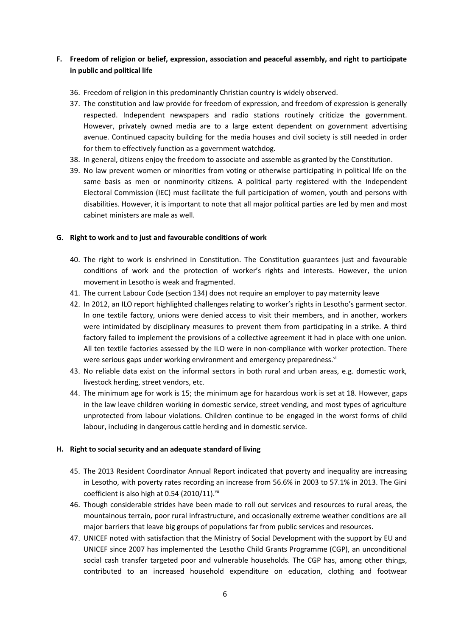#### **F. Freedom of religion or belief, expression, association and peaceful assembly, and right to participate in public and political life**

- 36. Freedom of religion in this predominantly Christian country is widely observed.
- 37. The constitution and law provide for freedom of expression, and freedom of expression is generally respected. Independent newspapers and radio stations routinely criticize the government. However, privately owned media are to a large extent dependent on government advertising avenue. Continued capacity building for the media houses and civil society is still needed in order for them to effectively function as a government watchdog.
- 38. In general, citizens enjoy the freedom to associate and assemble as granted by the Constitution.
- 39. No law prevent women or minorities from voting or otherwise participating in political life on the same basis as men or nonminority citizens. A political party registered with the Independent Electoral Commission (IEC) must facilitate the full participation of women, youth and persons with disabilities. However, it is important to note that all major political parties are led by men and most cabinet ministers are male as well.

#### **G. Right to work and to just and favourable conditions of work**

- 40. The right to work is enshrined in Constitution. The Constitution guarantees just and favourable conditions of work and the protection of worker's rights and interests. However, the union movement in Lesotho is weak and fragmented.
- 41. The current Labour Code (section 134) does not require an employer to pay maternity leave
- 42. In 2012, an ILO report highlighted challenges relating to worker's rights in Lesotho's garment sector. In one textile factory, unions were denied access to visit their members, and in another, workers were intimidated by disciplinary measures to prevent them from participating in a strike. A third factory failed to implement the provisions of a collective agreement it had in place with one union. All ten textile factories assessed by the ILO were in non-compliance with worker protection. There were serious gaps under working environment and emergency preparedness.<sup>vi</sup>
- 43. No reliable data exist on the informal sectors in both rural and urban areas, e.g. domestic work, livestock herding, street vendors, etc.
- 44. The minimum age for work is 15; the minimum age for hazardous work is set at 18. However, gaps in the law leave children working in domestic service, street vending, and most types of agriculture unprotected from labour violations. Children continue to be engaged in the worst forms of child labour, including in dangerous cattle herding and in domestic service.

#### **H. Right to social security and an adequate standard of living**

- 45. The 2013 Resident Coordinator Annual Report indicated that poverty and inequality are increasing in Lesotho, with poverty rates recording an increase from 56.6% in 2003 to 57.1% in 2013. The Gini coefficient is also high at 0.54 (2010/11). $vii$
- 46. Though considerable strides have been made to roll out services and resources to rural areas, the mountainous terrain, poor rural infrastructure, and occasionally extreme weather conditions are all major barriers that leave big groups of populations far from public services and resources.
- 47. UNICEF noted with satisfaction that the Ministry of Social Development with the support by EU and UNICEF since 2007 has implemented the Lesotho Child Grants Programme (CGP), an unconditional social cash transfer targeted poor and vulnerable households. The CGP has, among other things, contributed to an increased household expenditure on education, clothing and footwear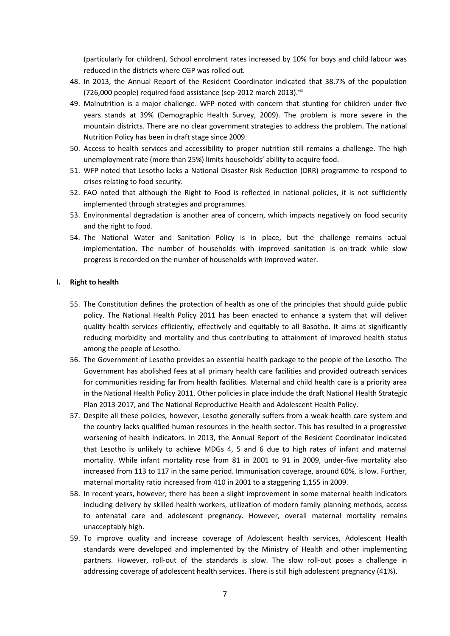(particularly for children). School enrolment rates increased by 10% for boys and child labour was reduced in the districts where CGP was rolled out.

- 48. In 2013, the Annual Report of the Resident Coordinator indicated that 38.7% of the population (726,000 people) required food assistance (sep-2012 march 2013). viii
- 49. Malnutrition is a major challenge. WFP noted with concern that stunting for children under five years stands at 39% (Demographic Health Survey, 2009). The problem is more severe in the mountain districts. There are no clear government strategies to address the problem. The national Nutrition Policy has been in draft stage since 2009.
- 50. Access to health services and accessibility to proper nutrition still remains a challenge. The high unemployment rate (more than 25%) limits households' ability to acquire food.
- 51. WFP noted that Lesotho lacks a National Disaster Risk Reduction (DRR) programme to respond to crises relating to food security.
- 52. FAO noted that although the Right to Food is reflected in national policies, it is not sufficiently implemented through strategies and programmes.
- 53. Environmental degradation is another area of concern, which impacts negatively on food security and the right to food.
- 54. The National Water and Sanitation Policy is in place, but the challenge remains actual implementation. The number of households with improved sanitation is on-track while slow progress is recorded on the number of households with improved water.

#### **I. Right to health**

- 55. The Constitution defines the protection of health as one of the principles that should guide public policy. The National Health Policy 2011 has been enacted to enhance a system that will deliver quality health services efficiently, effectively and equitably to all Basotho. It aims at significantly reducing morbidity and mortality and thus contributing to attainment of improved health status among the people of Lesotho.
- 56. The Government of Lesotho provides an essential health package to the people of the Lesotho. The Government has abolished fees at all primary health care facilities and provided outreach services for communities residing far from health facilities. Maternal and child health care is a priority area in the National Health Policy 2011. Other policies in place include the draft National Health Strategic Plan 2013-2017, and The National Reproductive Health and Adolescent Health Policy.
- 57. Despite all these policies, however, Lesotho generally suffers from a weak health care system and the country lacks qualified human resources in the health sector. This has resulted in a progressive worsening of health indicators. In 2013, the Annual Report of the Resident Coordinator indicated that Lesotho is unlikely to achieve MDGs 4, 5 and 6 due to high rates of infant and maternal mortality. While infant mortality rose from 81 in 2001 to 91 in 2009, under-five mortality also increased from 113 to 117 in the same period. Immunisation coverage, around 60%, is low. Further, maternal mortality ratio increased from 410 in 2001 to a staggering 1,155 in 2009.
- 58. In recent years, however, there has been a slight improvement in some maternal health indicators including delivery by skilled health workers, utilization of modern family planning methods, access to antenatal care and adolescent pregnancy. However, overall maternal mortality remains unacceptably high.
- 59. To improve quality and increase coverage of Adolescent health services, Adolescent Health standards were developed and implemented by the Ministry of Health and other implementing partners. However, roll-out of the standards is slow. The slow roll-out poses a challenge in addressing coverage of adolescent health services. There is still high adolescent pregnancy (41%).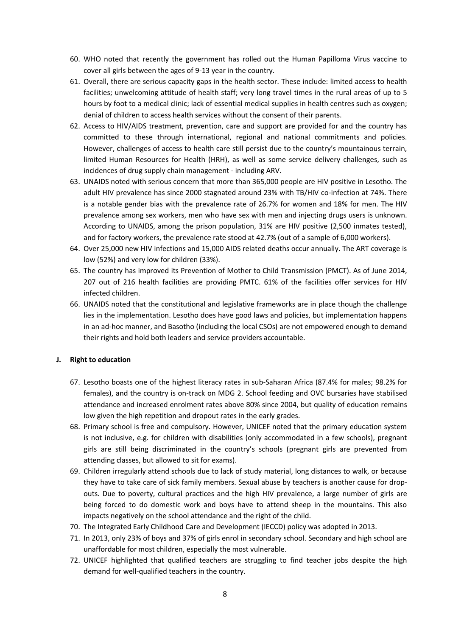- 60. WHO noted that recently the government has rolled out the Human Papilloma Virus vaccine to cover all girls between the ages of 9-13 year in the country.
- 61. Overall, there are serious capacity gaps in the health sector. These include: limited access to health facilities; unwelcoming attitude of health staff; very long travel times in the rural areas of up to 5 hours by foot to a medical clinic; lack of essential medical supplies in health centres such as oxygen; denial of children to access health services without the consent of their parents.
- 62. Access to HIV/AIDS treatment, prevention, care and support are provided for and the country has committed to these through international, regional and national commitments and policies. However, challenges of access to health care still persist due to the country's mountainous terrain, limited Human Resources for Health (HRH), as well as some service delivery challenges, such as incidences of drug supply chain management - including ARV.
- 63. UNAIDS noted with serious concern that more than 365,000 people are HIV positive in Lesotho. The adult HIV prevalence has since 2000 stagnated around 23% with TB/HIV co-infection at 74%. There is a notable gender bias with the prevalence rate of 26.7% for women and 18% for men. The HIV prevalence among sex workers, men who have sex with men and injecting drugs users is unknown. According to UNAIDS, among the prison population, 31% are HIV positive (2,500 inmates tested), and for factory workers, the prevalence rate stood at 42.7% (out of a sample of 6,000 workers).
- 64. Over 25,000 new HIV infections and 15,000 AIDS related deaths occur annually. The ART coverage is low (52%) and very low for children (33%).
- 65. The country has improved its Prevention of Mother to Child Transmission (PMCT). As of June 2014, 207 out of 216 health facilities are providing PMTC. 61% of the facilities offer services for HIV infected children.
- 66. UNAIDS noted that the constitutional and legislative frameworks are in place though the challenge lies in the implementation. Lesotho does have good laws and policies, but implementation happens in an ad-hoc manner, and Basotho (including the local CSOs) are not empowered enough to demand their rights and hold both leaders and service providers accountable.

#### **J. Right to education**

- 67. Lesotho boasts one of the highest literacy rates in sub-Saharan Africa (87.4% for males; 98.2% for females), and the country is on-track on MDG 2. School feeding and OVC bursaries have stabilised attendance and increased enrolment rates above 80% since 2004, but quality of education remains low given the high repetition and dropout rates in the early grades.
- 68. Primary school is free and compulsory. However, UNICEF noted that the primary education system is not inclusive, e.g. for children with disabilities (only accommodated in a few schools), pregnant girls are still being discriminated in the country's schools (pregnant girls are prevented from attending classes, but allowed to sit for exams).
- 69. Children irregularly attend schools due to lack of study material, long distances to walk, or because they have to take care of sick family members. Sexual abuse by teachers is another cause for dropouts. Due to poverty, cultural practices and the high HIV prevalence, a large number of girls are being forced to do domestic work and boys have to attend sheep in the mountains. This also impacts negatively on the school attendance and the right of the child.
- 70. The Integrated Early Childhood Care and Development (IECCD) policy was adopted in 2013.
- 71. In 2013, only 23% of boys and 37% of girls enrol in secondary school. Secondary and high school are unaffordable for most children, especially the most vulnerable.
- 72. UNICEF highlighted that qualified teachers are struggling to find teacher jobs despite the high demand for well-qualified teachers in the country.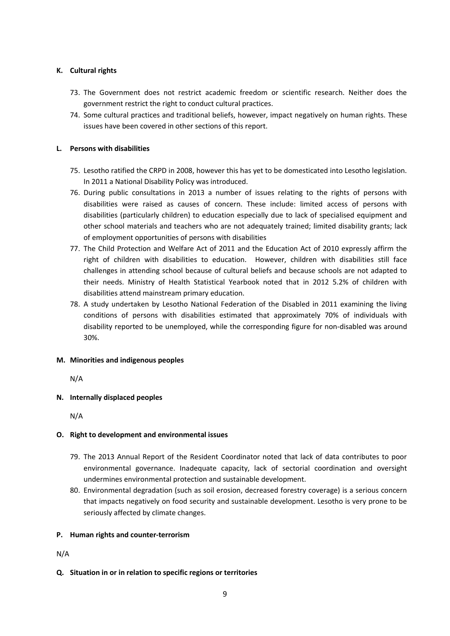#### **K. Cultural rights**

- 73. The Government does not restrict academic freedom or scientific research. Neither does the government restrict the right to conduct cultural practices.
- 74. Some cultural practices and traditional beliefs, however, impact negatively on human rights. These issues have been covered in other sections of this report.

#### **L. Persons with disabilities**

- 75. Lesotho ratified the CRPD in 2008, however this has yet to be domesticated into Lesotho legislation. In 2011 a National Disability Policy was introduced.
- 76. During public consultations in 2013 a number of issues relating to the rights of persons with disabilities were raised as causes of concern. These include: limited access of persons with disabilities (particularly children) to education especially due to lack of specialised equipment and other school materials and teachers who are not adequately trained; limited disability grants; lack of employment opportunities of persons with disabilities
- 77. The Child Protection and Welfare Act of 2011 and the Education Act of 2010 expressly affirm the right of children with disabilities to education. However, children with disabilities still face challenges in attending school because of cultural beliefs and because schools are not adapted to their needs. Ministry of Health Statistical Yearbook noted that in 2012 5.2% of children with disabilities attend mainstream primary education.
- 78. A study undertaken by Lesotho National Federation of the Disabled in 2011 examining the living conditions of persons with disabilities estimated that approximately 70% of individuals with disability reported to be unemployed, while the corresponding figure for non-disabled was around 30%.

#### **M. Minorities and indigenous peoples**

N/A

#### **N. Internally displaced peoples**

N/A

#### **O. Right to development and environmental issues**

- 79. The 2013 Annual Report of the Resident Coordinator noted that lack of data contributes to poor environmental governance. Inadequate capacity, lack of sectorial coordination and oversight undermines environmental protection and sustainable development.
- 80. Environmental degradation (such as soil erosion, decreased forestry coverage) is a serious concern that impacts negatively on food security and sustainable development. Lesotho is very prone to be seriously affected by climate changes.

#### **P. Human rights and counter-terrorism**

#### N/A

**Q. Situation in or in relation to specific regions or territories**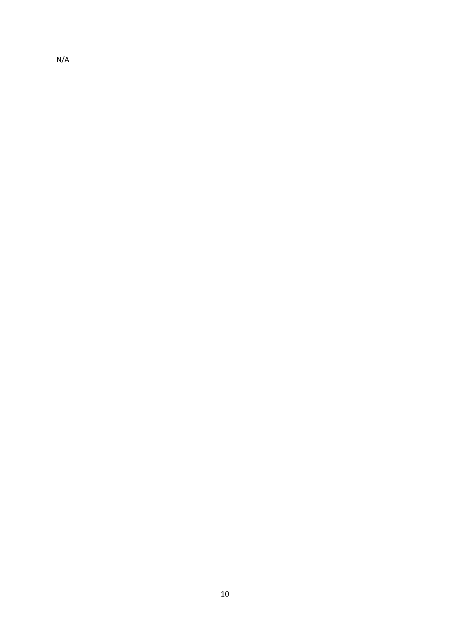N/A